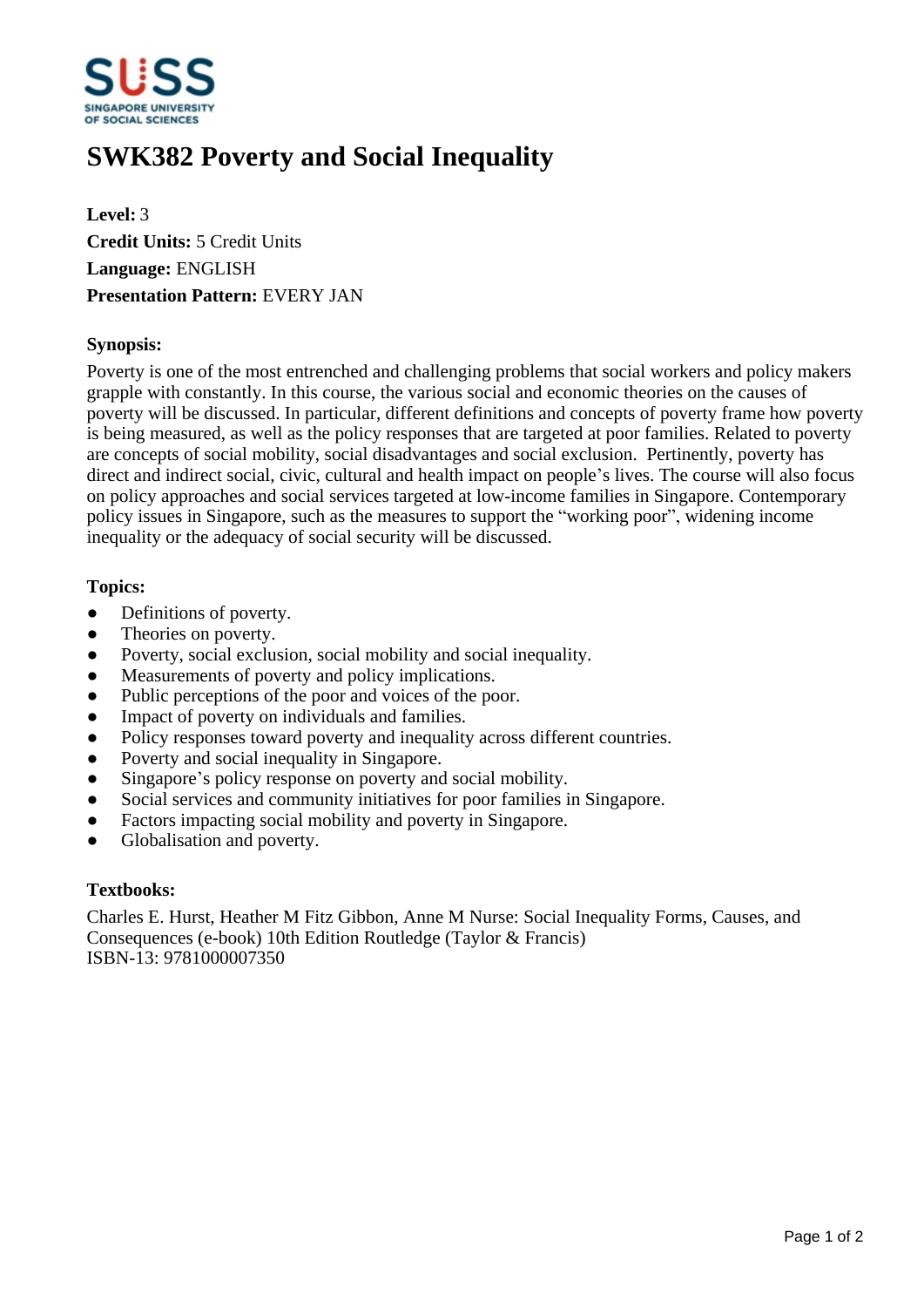

# **SWK382 Poverty and Social Inequality**

**Level:** 3 **Credit Units:** 5 Credit Units **Language:** ENGLISH **Presentation Pattern:** EVERY JAN

## **Synopsis:**

Poverty is one of the most entrenched and challenging problems that social workers and policy makers grapple with constantly. In this course, the various social and economic theories on the causes of poverty will be discussed. In particular, different definitions and concepts of poverty frame how poverty is being measured, as well as the policy responses that are targeted at poor families. Related to poverty are concepts of social mobility, social disadvantages and social exclusion. Pertinently, poverty has direct and indirect social, civic, cultural and health impact on people's lives. The course will also focus on policy approaches and social services targeted at low-income families in Singapore. Contemporary policy issues in Singapore, such as the measures to support the "working poor", widening income inequality or the adequacy of social security will be discussed.

## **Topics:**

- Definitions of poverty.
- Theories on poverty.
- Poverty, social exclusion, social mobility and social inequality.
- Measurements of poverty and policy implications.
- Public perceptions of the poor and voices of the poor.
- Impact of poverty on individuals and families.
- Policy responses toward poverty and inequality across different countries.
- Poverty and social inequality in Singapore.
- Singapore's policy response on poverty and social mobility.
- Social services and community initiatives for poor families in Singapore.
- Factors impacting social mobility and poverty in Singapore.
- Globalisation and poverty.

#### **Textbooks:**

Charles E. Hurst, Heather M Fitz Gibbon, Anne M Nurse: Social Inequality Forms, Causes, and Consequences (e-book) 10th Edition Routledge (Taylor & Francis) ISBN-13: 9781000007350